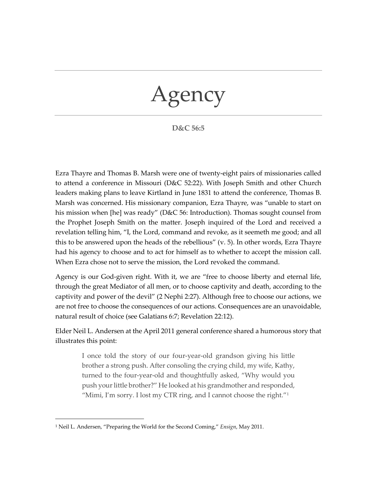## Agency

## **D&C 56:5**

Ezra Thayre and Thomas B. Marsh were one of twenty-eight pairs of missionaries called to attend a conference in Missouri (D&C 52:22). With Joseph Smith and other Church leaders making plans to leave Kirtland in June 1831 to attend the conference, Thomas B. Marsh was concerned. His missionary companion, Ezra Thayre, was "unable to start on his mission when [he] was ready" (D&C 56: Introduction). Thomas sought counsel from the Prophet Joseph Smith on the matter. Joseph inquired of the Lord and received a revelation telling him, "I, the Lord, command and revoke, as it seemeth me good; and all this to be answered upon the heads of the rebellious" (v. 5). In other words, Ezra Thayre had his agency to choose and to act for himself as to whether to accept the mission call. When Ezra chose not to serve the mission, the Lord revoked the command.

Agency is our God-given right. With it, we are "free to choose liberty and eternal life, through the great Mediator of all men, or to choose captivity and death, according to the captivity and power of the devil" (2 [Nephi](https://www.churchofjesuschrist.org/study/scriptures/bofm/2-ne/2.27?lang=eng#p27) 2:27). Although free to choose our actions, we are not free to choose the consequences of our actions. Consequences are an unavoidable, natural result of choice (see [Galatians](https://www.churchofjesuschrist.org/study/scriptures/nt/gal/6.7?lang=eng#p7) 6:7; [Revelation](https://www.churchofjesuschrist.org/study/scriptures/nt/rev/22.12?lang=eng#p12) 22:12).

Elder Neil L. Andersen at the April 2011 general conference shared a humorous story that illustrates this point:

I once told the story of our four-year-old grandson giving his little brother a strong push. After consoling the crying child, my wife, Kathy, turned to the four-year-old and thoughtfully asked, "Why would you push your little brother?" He looked at his grandmother and responded, "Mimi, I'm sorry. I lost my CTR ring, and I cannot choose the right." $1$ 

<span id="page-0-0"></span><sup>1</sup> Neil L. Andersen, "Preparing the World for the Second Coming," *Ensign*, May 2011.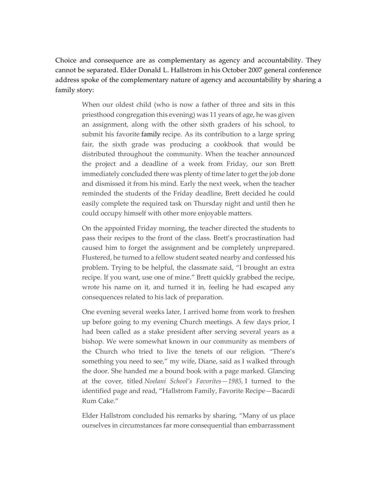Choice and consequence are as complementary as agency and accountability. They cannot be separated. Elder Donald L. Hallstrom in his October 2007 general conference address spoke of the complementary nature of agency and accountability by sharing a family story:

When our oldest child (who is now a father of three and sits in this priesthood congregation this evening) was 11 years of age, he was given an assignment, along with the other sixth graders of his school, to submit his favorite [family](http://www.mormon.org/values/family) recipe. As its contribution to a large spring fair, the sixth grade was producing a cookbook that would be distributed throughout the community. When the teacher announced the project and a deadline of a week from Friday, our son Brett immediately concluded there was plenty of time later to get the job done and dismissed it from his mind. Early the next week, when the teacher reminded the students of the Friday deadline, Brett decided he could easily complete the required task on Thursday night and until then he could occupy himself with other more enjoyable matters.

On the appointed Friday morning, the teacher directed the students to pass their recipes to the front of the class. Brett's procrastination had caused him to forget the assignment and be completely unprepared. Flustered, he turned to a fellow student seated nearby and confessed his problem. Trying to be helpful, the classmate said, "I brought an extra recipe. If you want, use one of mine." Brett quickly grabbed the recipe, wrote his name on it, and turned it in, feeling he had escaped any consequences related to his lack of preparation.

One evening several weeks later, I arrived home from work to freshen up before going to my evening Church meetings. A few days prior, I had been called as a stake president after serving several years as a bishop. We were somewhat known in our community as members of the Church who tried to live the tenets of our religion. "There's something you need to see," my wife, Diane, said as I walked through the door. She handed me a bound book with a page marked. Glancing at the cover, titled *Noelani School's Favorites—1985,* I turned to the identified page and read, "Hallstrom Family, Favorite Recipe—Bacardi Rum Cake."

Elder Hallstrom concluded his remarks by sharing, "Many of us place ourselves in circumstances far more consequential than embarrassment